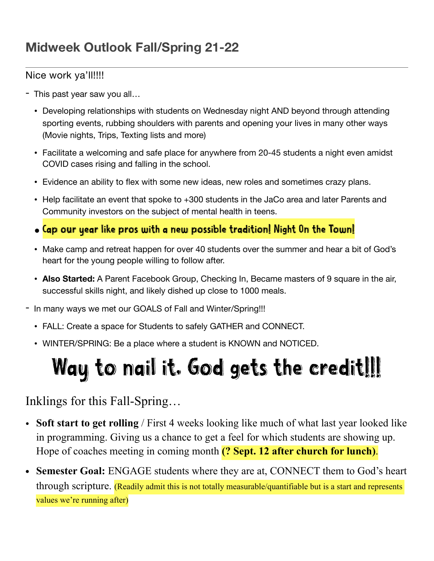## Nice work ya'll!!!!

- This past year saw you all…
	- Developing relationships with students on Wednesday night AND beyond through attending sporting events, rubbing shoulders with parents and opening your lives in many other ways (Movie nights, Trips, Texting lists and more)
	- Facilitate a welcoming and safe place for anywhere from 20-45 students a night even amidst COVID cases rising and falling in the school.
	- Evidence an ability to flex with some new ideas, new roles and sometimes crazy plans.
	- Help facilitate an event that spoke to +300 students in the JaCo area and later Parents and Community investors on the subject of mental health in teens.
	- Cap our year like pros with a new possible tradition! Night On the Town!
	- Make camp and retreat happen for over 40 students over the summer and hear a bit of God's heart for the young people willing to follow after.
	- **Also Started:** A Parent Facebook Group, Checking In, Became masters of 9 square in the air, successful skills night, and likely dished up close to 1000 meals.

- In many ways we met our GOALS of Fall and Winter/Spring!!!

- FALL: Create a space for Students to safely GATHER and CONNECT.
- WINTER/SPRING: Be a place where a student is KNOWN and NOTICED.

## Way to nail it. God gets the credit!!!

## Inklings for this Fall-Spring…

- **Soft start to get rolling** / First 4 weeks looking like much of what last year looked like in programming. Giving us a chance to get a feel for which students are showing up. Hope of coaches meeting in coming month **(? Sept. 12 after church for lunch)**.
- **• Semester Goal:** ENGAGE students where they are at, CONNECT them to God's heart through scripture. (Readily admit this is not totally measurable/quantifiable but is a start and represents values we're running after)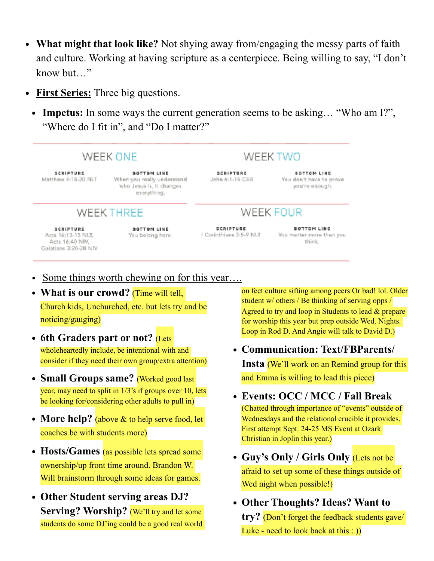- **• What might that look like?** Not shying away from/engaging the messy parts of faith and culture. Working at having scripture as a centerpiece. Being willing to say, "I don't know but…"
- **• First Series:** Three big questions.
	- **• Impetus:** In some ways the current generation seems to be asking… "Who am I?", "Where do I fit in", and "Do I matter?"



- Some things worth chewing on for this year....
- **What is our crowd?** (Time will tell, Church kids, Unchurched, etc. but lets try and be noticing/gauging)
- 6th Graders part or not? (Lets wholeheartedly include, be intentional with and consider if they need their own group/extra attention)
- **• Small Groups same?** (Worked good last year, may need to split in 1/3's if groups over 10, lets be looking for/considering other adults to pull in)
- More help? (above & to help serve food, let coaches be with students more)
- **Hosts/Games** (as possible lets spread some ownership/up front time around. Brandon W. Will brainstorm through some ideas for games.
- **• Other Student serving areas DJ? Serving? Worship?** (We'll try and let some students do some DJ'ing could be a good real world

on feet culture sifting among peers Or bad! lol. Older student w/ others / Be thinking of serving opps / Agreed to try and loop in Students to lead & prepare for worship this year but prep outside Wed. Nights. Loop in Rod D. And Angie will talk to David D.)

**• Communication: Text/FBParents/**

**Insta** (We'll work on an Remind group for this and Emma is willing to lead this piece)

- **• Events: OCC / MCC / Fall Break**  (Chatted through importance of "events" outside of Wednesdays and the relational crucible it provides. First attempt Sept. 24-25 MS Event at Ozark Christian in Joplin this year.)
- **• Guy's Only / Girls Only** (Lets not be afraid to set up some of these things outside of Wed night when possible!)
- **• Other Thoughts? Ideas? Want to try?** (Don't forget the feedback students gave/ Luke - need to look back at this : ))